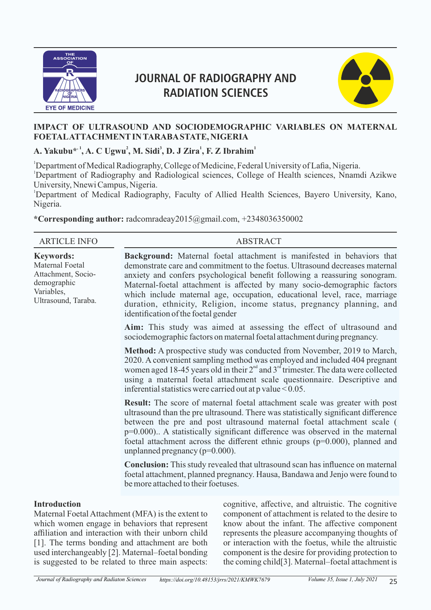

# **JOURNAL OF RADIOGRAPHY AND RADIATION SCIENCES**



# **IMPACT OF ULTRASOUND AND SOCIODEMOGRAPHIC VARIABLES ON MATERNAL FOETAL ATTACHMENT IN TARABA STATE, NIGERIA**

**, 1 <sup>2</sup> <sup>3</sup> <sup>1</sup> <sup>1</sup> A. Yakubu\* , A. C Ugwu , M. Sidi , D. J Zira , F. Z Ibrahim**

<sup>1</sup>Department of Medical Radiography, College of Medicine, Federal University of Lafia, Nigeria.

<sup>1</sup>Department of Radiography and Radiological sciences, College of Health sciences, Nnamdi Azikwe University, Nnewi Campus, Nigeria.

<sup>1</sup>Department of Medical Radiography, Faculty of Allied Health Sciences, Bayero University, Kano, Nigeria.

**\*Corresponding author:** radcomradeay2015@gmail.com, +2348036350002

| <b>ARTICLE INFO</b>                                                                                           |                                                                                                                                                                                                                                                                                                                                                                                                                                                                | <b>ABSTRACT</b>                                                                                                                                                                                                                                                                                                                                                                                                                                                               |  |  |  |  |  |  |
|---------------------------------------------------------------------------------------------------------------|----------------------------------------------------------------------------------------------------------------------------------------------------------------------------------------------------------------------------------------------------------------------------------------------------------------------------------------------------------------------------------------------------------------------------------------------------------------|-------------------------------------------------------------------------------------------------------------------------------------------------------------------------------------------------------------------------------------------------------------------------------------------------------------------------------------------------------------------------------------------------------------------------------------------------------------------------------|--|--|--|--|--|--|
| <b>Keywords:</b><br>Maternal Foetal<br>Attachment, Socio-<br>demographic<br>Variables,<br>Ultrasound, Taraba. | identification of the foetal gender                                                                                                                                                                                                                                                                                                                                                                                                                            | <b>Background:</b> Maternal foetal attachment is manifested in behaviors that<br>demonstrate care and commitment to the foetus. Ultrasound decreases maternal<br>anxiety and confers psychological benefit following a reassuring sonogram.<br>Maternal-foetal attachment is affected by many socio-demographic factors<br>which include maternal age, occupation, educational level, race, marriage<br>duration, ethnicity, Religion, income status, pregnancy planning, and |  |  |  |  |  |  |
|                                                                                                               | Aim: This study was aimed at assessing the effect of ultrasound and<br>sociodemographic factors on maternal foetal attachment during pregnancy.                                                                                                                                                                                                                                                                                                                |                                                                                                                                                                                                                                                                                                                                                                                                                                                                               |  |  |  |  |  |  |
|                                                                                                               | Method: A prospective study was conducted from November, 2019 to March,<br>2020. A convenient sampling method was employed and included 404 pregnant<br>women aged 18-45 years old in their $2nd$ and $3rd$ trimester. The data were collected<br>using a maternal foetal attachment scale questionnaire. Descriptive and<br>inferential statistics were carried out at $p$ value $\leq 0.05$ .                                                                |                                                                                                                                                                                                                                                                                                                                                                                                                                                                               |  |  |  |  |  |  |
|                                                                                                               | <b>Result:</b> The score of maternal foetal attachment scale was greater with post<br>ultrasound than the pre ultrasound. There was statistically significant difference<br>between the pre and post ultrasound maternal foetal attachment scale (<br>$p=0.000$ ) A statistically significant difference was observed in the maternal<br>foetal attachment across the different ethnic groups ( $p=0.000$ ), planned and<br>unplanned pregnancy ( $p=0.000$ ). |                                                                                                                                                                                                                                                                                                                                                                                                                                                                               |  |  |  |  |  |  |
|                                                                                                               | <b>Conclusion:</b> This study revealed that ultrasound scan has influence on maternal<br>foetal attachment, planned pregnancy. Hausa, Bandawa and Jenjo were found to<br>be more attached to their foetuses.                                                                                                                                                                                                                                                   |                                                                                                                                                                                                                                                                                                                                                                                                                                                                               |  |  |  |  |  |  |
| <b>Introduction</b>                                                                                           | Maternal Foetal Attachment (MFA) is the extent to<br>which women engage in behaviors that represent                                                                                                                                                                                                                                                                                                                                                            | cognitive, affective, and altruistic. The cognitive<br>component of attachment is related to the desire to<br>know about the infant. The affective component                                                                                                                                                                                                                                                                                                                  |  |  |  |  |  |  |

which women engage in behaviors that represent affiliation and interaction with their unborn child [1]. The terms bonding and attachment are both used interchangeably [2]. Maternal–foetal bonding is suggested to be related to three main aspects:

know about the infant. The affective component represents the pleasure accompanying thoughts of or interaction with the foetus, while the altruistic component is the desire for providing protection to the coming child[3]. Maternal–foetal attachment is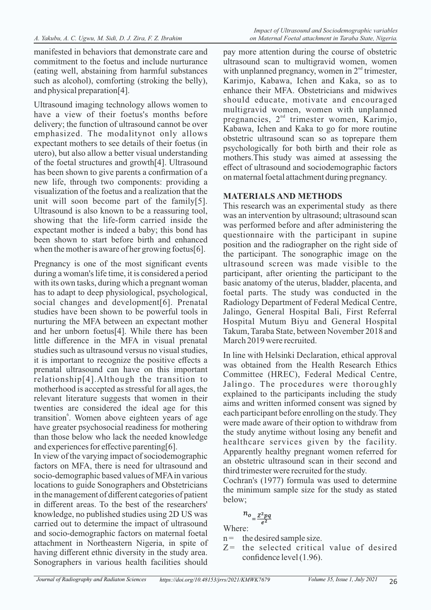manifested in behaviors that demonstrate care and commitment to the foetus and include nurturance (eating well, abstaining from harmful substances such as alcohol), comforting (stroking the belly), and physical preparation[4].

Ultrasound imaging technology allows women to have a view of their foetus's months before delivery; the function of ultrasound cannot be over emphasized. The modalitynot only allows expectant mothers to see details of their foetus (in utero), but also allow a better visual understanding of the foetal structures and growth[4]. Ultrasound has been shown to give parents a confirmation of a new life, through two components: providing a visualization of the foetus and a realization that the unit will soon become part of the family[5]. Ultrasound is also known to be a reassuring tool, showing that the life-form carried inside the expectant mother is indeed a baby; this bond has been shown to start before birth and enhanced when the mother is aware of her growing foetus[6].

Pregnancy is one of the most significant events during a woman's life time, it is considered a period with its own tasks, during which a pregnant woman has to adapt to deep physiological, psychological, social changes and development[6]. Prenatal studies have been shown to be powerful tools in nurturing the MFA between an expectant mother and her unborn foetus[4]. While there has been little difference in the MFA in visual prenatal studies such as ultrasound versus no visual studies, it is important to recognize the positive effects a prenatal ultrasound can have on this important relationship[4].Although the transition to motherhood is accepted as stressful for all ages, the relevant literature suggests that women in their twenties are considered the ideal age for this transition<sup>6</sup>. Women above eighteen years of age have greater psychosocial readiness for mothering than those below who lack the needed knowledge and experiences for effective parenting[6].

In view of the varying impact of sociodemographic factors on MFA, there is need for ultrasound and socio-demographic based values of MFA in various locations to guide Sonographers and Obstetricians in the management of different categories of patient in different areas. To the best of the researchers' knowledge, no published studies using 2D US was carried out to determine the impact of ultrasound and socio-demographic factors on maternal foetal attachment in Northeastern Nigeria, in spite of having different ethnic diversity in the study area. Sonographers in various health facilities should

pay more attention during the course of obstetric ultrasound scan to multigravid women, women with unplanned pregnancy, women in  $2<sup>nd</sup>$  trimester, Karimjo, Kabawa, Ichen and Kaka, so as to enhance their MFA. Obstetricians and midwives should educate, motivate and encouraged multigravid women, women with unplanned pregnancies,  $2<sup>nd</sup>$  trimester women, Karimjo, Kabawa, Ichen and Kaka to go for more routine obstetric ultrasound scan so as toprepare them psychologically for both birth and their role as mothers.This study was aimed at assessing the effect of ultrasound and sociodemographic factors on maternal foetal attachment during pregnancy.

# **MATERIALS AND METHODS**

This research was an experimental study as there was an intervention by ultrasound; ultrasound scan was performed before and after administering the questionnaire with the participant in supine position and the radiographer on the right side of the participant. The sonographic image on the ultrasound screen was made visible to the participant, after orienting the participant to the basic anatomy of the uterus, bladder, placenta, and foetal parts. The study was conducted in the Radiology Department of Federal Medical Centre, Jalingo, General Hospital Bali, First Referral Hospital Mutum Biyu and General Hospital Takum, Taraba State, between November 2018 and March 2019 were recruited.

In line with Helsinki Declaration, ethical approval was obtained from the Health Research Ethics Committee (HREC), Federal Medical Centre, Jalingo. The procedures were thoroughly explained to the participants including the study aims and written informed consent was signed by each participant before enrolling on the study. They were made aware of their option to withdraw from the study anytime without losing any benefit and healthcare services given by the facility. Apparently healthy pregnant women referred for an obstetric ultrasound scan in their second and third trimester were recruited for the study.

Cochran's (1977) formula was used to determine the minimum sample size for the study as stated below;

$$
n_{o} = \frac{Z^2 pq}{e^2}
$$

Where:

- $n =$  the desired sample size.
- $Z$  = the selected critical value of desired confidence level (1.96).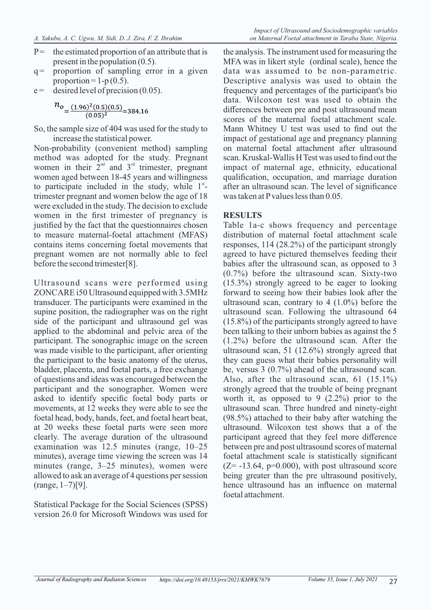- $P =$  the estimated proportion of an attribute that is present in the population (0.5).
- $q =$  proportion of sampling error in a given proportion =  $1-p(0.5)$ .
- $e =$  desired level of precision (0.05).

$$
n_o = \frac{(1.96)^2 (0.5)(0.5)}{(0.05)^2} = 384.16
$$

So, the sample size of 404 was used for the study to increase the statistical power.

Non-probability (convenient method) sampling method was adopted for the study. Pregnant women in their  $2<sup>nd</sup>$  and  $3<sup>rd</sup>$  trimester, pregnant women aged between 18-45 years and willingness to participate included in the study, while  $1<sup>st</sup>$ trimester pregnant and women below the age of 18 were excluded in the study. The decision to exclude women in the first trimester of pregnancy is justified by the fact that the questionnaires chosen to measure maternal-foetal attachment (MFAS) contains items concerning foetal movements that pregnant women are not normally able to feel before the second trimester[8].

Ultrasound scans were performed using ZONCARE i50 Ultrasound equipped with 3.5MHz transducer. The participants were examined in the supine position, the radiographer was on the right side of the participant and ultrasound gel was applied to the abdominal and pelvic area of the participant. The sonographic image on the screen was made visible to the participant, after orienting the participant to the basic anatomy of the uterus, bladder, placenta, and foetal parts, a free exchange of questions and ideas was encouraged between the participant and the sonographer. Women were asked to identify specific foetal body parts or movements, at 12 weeks they were able to see the foetal head, body, hands, feet, and foetal heart beat, at 20 weeks these foetal parts were seen more clearly. The average duration of the ultrasound examination was 12.5 minutes (range, 10–25 minutes), average time viewing the screen was 14 minutes (range, 3–25 minutes), women were allowed to ask an average of 4 questions per session  $(range, 1-7)[9].$ 

Statistical Package for the Social Sciences (SPSS) version 26.0 for Microsoft Windows was used for

the analysis. The instrument used for measuring the MFA was in likert style (ordinal scale), hence the data was assumed to be non-parametric. Descriptive analysis was used to obtain the frequency and percentages of the participant's bio data. Wilcoxon test was used to obtain the differences between pre and post ultrasound mean scores of the maternal foetal attachment scale. Mann Whitney U test was used to find out the impact of gestational age and pregnancy planning on maternal foetal attachment after ultrasound scan. Kruskal-Wallis H Test was used to find out the impact of maternal age, ethnicity, educational qualification, occupation, and marriage duration after an ultrasound scan. The level of significance was taken at P values less than 0.05.

### **RESULTS**

Table 1a-c shows frequency and percentage distribution of maternal foetal attachment scale responses, 114 (28.2%) of the participant strongly agreed to have pictured themselves feeding their babies after the ultrasound scan, as opposed to 3 (0.7%) before the ultrasound scan. Sixty-two (15.3%) strongly agreed to be eager to looking forward to seeing how their babies look after the ultrasound scan, contrary to  $4(1.0\%)$  before the ultrasound scan. Following the ultrasound 64 (15.8%) of the participants strongly agreed to have been talking to their unborn babies as against the 5 (1.2%) before the ultrasound scan. After the ultrasound scan, 51 (12.6%) strongly agreed that they can guess what their babies personality will be, versus 3 (0.7%) ahead of the ultrasound scan. Also, after the ultrasound scan, 61 (15.1%) strongly agreed that the trouble of being pregnant worth it, as opposed to 9 (2.2%) prior to the ultrasound scan. Three hundred and ninety-eight (98.5%) attached to their baby after watching the ultrasound. Wilcoxon test shows that a of the participant agreed that they feel more difference between pre and post ultrasound scores of maternal foetal attachment scale is statistically significant  $(Z=-13.64, p=0.000)$ , with post ultrasound score being greater than the pre ultrasound positively, hence ultrasound has an influence on maternal foetal attachment.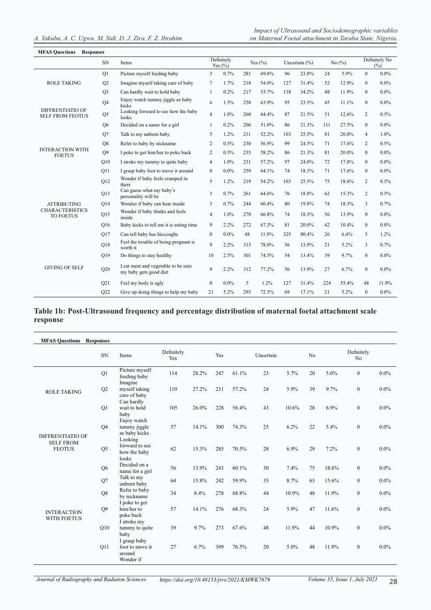#### *Impact of Ultrasound and Sociodemographic variables A. Yakubu, A. C. Ugwu, M. Sidi, D. J. Zira, F. Z. Ibrahim on Maternal Foetal attachment in Taraba State, Nigeria.*

| <b>MFAS Questions</b>                              | <b>Responses</b> |                                                               |                  |                           |     |             |     |                   |     |           |                  |                      |
|----------------------------------------------------|------------------|---------------------------------------------------------------|------------------|---------------------------|-----|-------------|-----|-------------------|-----|-----------|------------------|----------------------|
|                                                    | ${\rm SN}$       | Items                                                         |                  | Definitely<br>Yes $(\% )$ |     | Yes $(\% )$ |     | Uncertain $(\% )$ |     | No $(\%)$ |                  | Definitely No<br>(%) |
|                                                    | Q1               | Picture myself feeding baby                                   | 3                | 0.7%                      | 281 | 69.6%       | 96  | 23.8%             | 24  | 5.9%      | $\mathbf{0}$     | $0.0\%$              |
| <b>ROLE TAKING</b>                                 | Q2               | Imagine myself taking care of baby                            | 7                | 1.7%                      | 218 | 54.0%       | 127 | 31.4%             | 52  | 12.9%     | $\mathbf{0}$     | $0.0\%$              |
|                                                    | Q <sub>3</sub>   | Can hardly wait to hold baby                                  | $\mathbf{1}$     | 0.2%                      | 217 | 53.7%       | 138 | 34.2%             | 48  | 11.9%     | $\mathbf{0}$     | $0.0\%$              |
|                                                    | Q <sub>4</sub>   | Enjoy watch tummy jiggle as baby<br>kicks                     | 6                | 1.5%                      | 258 | 63.9%       | 95  | 23.5%             | 45  | 11.1%     | $\mathbf{0}$     | $0.0\%$              |
| <b>DIFFRENTIATIO OF</b><br><b>SELF FROM FEOTUS</b> | $\mathrm{Q}5$    | Looking forward to see how the baby<br>looks                  | $\overline{4}$   | 1.0%                      | 260 | 64.4%       | 87  | 21.5%             | 51  | 12.6%     | 2                | 0.5%                 |
|                                                    | Q <sub>6</sub>   | Decided on a name for a girl                                  | $\mathbf{1}$     | 0.2%                      | 206 | 51.0%       | 86  | 21.3%             | 111 | 27.5%     | $\mathbf{0}$     | $0.0\%$              |
|                                                    | Q7               | Talk to my unborn baby                                        | 5                | 1.2%                      | 211 | 52.2%       | 103 | 25.5%             | 81  | 20.0%     | 4                | 1.0%                 |
|                                                    | Q8               | Refer to baby by nickname                                     | 2                | 0.5%                      | 230 | 56.9%       | 99  | 24.5%             | 71  | 17.6%     | 2                | 0.5%                 |
| <b>INTERACTION WITH</b><br><b>FOETUS</b>           | Q <sub>9</sub>   | I poke to get him/her to poke back                            | 2                | 0.5%                      | 235 | 58.2%       | 86  | 21.3%             | 81  | 20.0%     | $\mathbf{0}$     | $0.0\%$              |
|                                                    | O10              | I stroke my tummy to quite baby                               | $\overline{4}$   | 1.0%                      | 231 | 57.2%       | 97  | 24.0%             | 72  | 17.8%     | $\boldsymbol{0}$ | $0.0\%$              |
| Q11                                                |                  | I grasp baby foot to move it around                           | $\bf{0}$         | $0.0\%$                   | 259 | 64.1%       | 74  | 18.3%             | 71  | 17.6%     | $\boldsymbol{0}$ | $0.0\%$              |
|                                                    | Q12              | Wonder if baby feels cramped in<br>there                      | 5                | 1.2%                      | 219 | 54.2%       | 103 | 25.5%             | 75  | 18.6%     | 2                | 0.5%                 |
|                                                    | Q13              | Can guess what my baby's<br>personality will be               | 3                | 0.7%                      | 261 | 64.6%       | 76  | 18.8%             | 62  | 15.3%     | 2                | 0.5%                 |
| <b>ATTRIBUTING</b>                                 | O14              | Wonder if baby can hear inside                                | 3                | 0.7%                      | 244 | 60.4%       | 80  | 19.8%             | 74  | 18.3%     | 3                | 0.7%                 |
| <b>CHARACTERISTICS</b><br><b>TO FOETUS</b>         | Q15              | Wonder if baby thinks and feels<br>inside                     | $\overline{4}$   | 1.0%                      | 270 | 66.8%       | 74  | 18.3%             | 56  | 13.9%     | $\mathbf{0}$     | $0.0\%$              |
|                                                    | Q16              | Baby kicks to tell me it is eating time                       | 9                | 2.2%                      | 272 | 67.3%       | 81  | 20.0%             | 42  | 10.4%     | $\mathbf{0}$     | $0.0\%$              |
|                                                    | Q17              | Can tell baby has hiccoughs                                   | $\boldsymbol{0}$ | 0.0%                      | 48  | 11.9%       | 325 | 80.4%             | 26  | 6.4%      | 5                | $1.2\%$              |
|                                                    | Q18              | Feel the trouble of being pregnant is<br>worth it             | 9                | 2.2%                      | 315 | 78.0%       | 56  | 13.9%             | 21  | 5.2%      | 3                | 0.7%                 |
|                                                    | O19              | Do things to stay healthy                                     | 10               | 2.5%                      | 301 | 74.5%       | 54  | 13.4%             | 39  | 9.7%      | $\mathbf{0}$     | $0.0\%$              |
| <b>GIVING OF SELF</b>                              | Q20              | I eat meat and vegetable to be sure<br>my baby gets good diet | 9                | 2.2%                      | 312 | 77.2%       | 56  | 13.9%             | 27  | 6.7%      | $\mathbf{0}$     | $0.0\%$              |
|                                                    | Q21              | Feel my body is ugly                                          | $\mathbf{0}$     | 0.0%                      | 5   | 1.2%        | 127 | 31.4%             | 224 | 55.4%     | 48               | 11.9%                |
|                                                    | Q22              | Give up doing things to help my baby                          | 21               | 5.2%                      | 293 | 72.5%       | 69  | 17.1%             | 21  | 5.2%      | $\mathbf{0}$     | $0.0\%$              |

#### **Table 1b: Post-Ultrasound frequency and percentage distribution of maternal foetal attachment scale response**

| <b>MFAS Questions Responses</b>          |                |                                                        |                   |       |     |       |           |       |                |       |                              |         |
|------------------------------------------|----------------|--------------------------------------------------------|-------------------|-------|-----|-------|-----------|-------|----------------|-------|------------------------------|---------|
|                                          | <b>SN</b>      | Items                                                  | Definitely<br>Yes |       | Yes |       | Uncertain |       | N <sub>o</sub> |       | Definitely<br>N <sub>o</sub> |         |
|                                          | Q1             | Picture myself<br>feeding baby<br>Imagine              | 114               | 28.2% | 247 | 61.1% | 23        | 5.7%  | 20             | 5.0%  | $\mathbf{0}$                 | $0.0\%$ |
| <b>ROLE TAKING</b>                       | Q2             | myself taking<br>care of baby                          | 110               | 27.2% | 231 | 57.2% | 24        | 5.9%  | 39             | 9.7%  | $\boldsymbol{0}$             | $0.0\%$ |
|                                          | Q <sub>3</sub> | Can hardly<br>wait to hold<br>baby                     | 105               | 26.0% | 228 | 56.4% | 43        | 10.6% | 28             | 6.9%  | $\mathbf{0}$                 | $0.0\%$ |
| <b>DIFFRENTIATIO OF</b>                  | Q <sub>4</sub> | Enjoy watch<br>tummy jiggle<br>as baby kicks           | 57                | 14.1% | 300 | 74.3% | 25        | 6.2%  | 22             | 5.4%  | $\mathbf{0}$                 | $0.0\%$ |
| <b>SELF FROM</b><br><b>FEOTUS</b>        | Q <sub>5</sub> | Looking<br>forward to see<br>how the baby<br>looks     | 62                | 15.3% | 285 | 70.5% | 28        | 6.9%  | 29             | 7.2%  | $\overline{0}$               | $0.0\%$ |
|                                          | Q <sub>6</sub> | Decided on a<br>name for a girl                        | 56                | 13.9% | 243 | 60.1% | 30        | 7.4%  | 75             | 18.6% | $\overline{0}$               | $0.0\%$ |
|                                          | Q7             | Talk to my<br>unborn baby                              | 64                | 15.8% | 242 | 59.9% | 35        | 8.7%  | 63             | 15.6% | $\boldsymbol{0}$             | $0.0\%$ |
|                                          | Q8             | Refer to baby<br>by nickname                           | 34                | 8.4%  | 278 | 68.8% | 44        | 10.9% | 48             | 11.9% | $\boldsymbol{0}$             | $0.0\%$ |
| <b>INTERACTION</b><br><b>WITH FOETUS</b> | O <sub>9</sub> | I poke to get<br>him/her to<br>poke back               | 57                | 14.1% | 276 | 68.3% | 24        | 5.9%  | 47             | 11.6% | $\mathbf{0}$                 | $0.0\%$ |
|                                          | Q10            | I stroke my<br>tummy to quite<br>baby                  | 39                | 9.7%  | 273 | 67.6% | 48        | 11.9% | 44             | 10.9% | $\overline{0}$               | $0.0\%$ |
|                                          | Q11            | I grasp baby<br>foot to move it<br>around<br>Wonder if | 27                | 6.7%  | 309 | 76.5% | 20        | 5.0%  | 48             | 11.9% | $\mathbf{0}$                 | $0.0\%$ |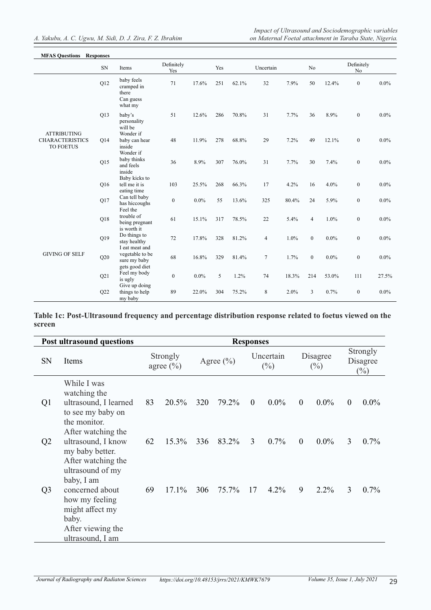| <b>MFAS Questions</b>                      | <b>Responses</b> |                                                           |                   |         |     |       |           |       |                  |         |                  |         |
|--------------------------------------------|------------------|-----------------------------------------------------------|-------------------|---------|-----|-------|-----------|-------|------------------|---------|------------------|---------|
|                                            | SN               | Items                                                     | Definitely<br>Yes |         | Yes |       | Uncertain |       | No.              |         | Definitely<br>No |         |
|                                            | Q12              | baby feels<br>cramped in<br>there<br>Can guess<br>what my | 71                | 17.6%   | 251 | 62.1% | 32        | 7.9%  | 50               | 12.4%   | $\overline{0}$   | $0.0\%$ |
| <b>ATTRIBUTING</b>                         | Q13              | baby's<br>personality<br>will be<br>Wonder if             | 51                | 12.6%   | 286 | 70.8% | 31        | 7.7%  | 36               | 8.9%    | $\overline{0}$   | $0.0\%$ |
| <b>CHARACTERISTICS</b><br><b>TO FOETUS</b> | Q14              | baby can hear<br>inside<br>Wonder if                      | 48                | 11.9%   | 278 | 68.8% | 29        | 7.2%  | 49               | 12.1%   | $\boldsymbol{0}$ | $0.0\%$ |
|                                            | Q15              | baby thinks<br>and feels<br>inside                        | 36                | 8.9%    | 307 | 76.0% | 31        | 7.7%  | 30               | 7.4%    | $\overline{0}$   | $0.0\%$ |
|                                            | Q16              | Baby kicks to<br>tell me it is<br>eating time             | 103               | 25.5%   | 268 | 66.3% | 17        | 4.2%  | 16               | 4.0%    | $\overline{0}$   | $0.0\%$ |
|                                            | Q17              | Can tell baby<br>has hiccoughs<br>Feel the                | $\mathbf{0}$      | $0.0\%$ | 55  | 13.6% | 325       | 80.4% | 24               | 5.9%    | $\overline{0}$   | $0.0\%$ |
|                                            | Q18              | trouble of<br>being pregnant<br>is worth it               | 61                | 15.1%   | 317 | 78.5% | 22        | 5.4%  | $\overline{4}$   | 1.0%    | $\overline{0}$   | $0.0\%$ |
|                                            | Q19              | Do things to<br>stay healthy<br>I eat meat and            | 72                | 17.8%   | 328 | 81.2% | 4         | 1.0%  | $\mathbf{0}$     | $0.0\%$ | $\overline{0}$   | $0.0\%$ |
| <b>GIVING OF SELF</b>                      | Q20              | vegetable to be<br>sure my baby<br>gets good diet         | 68                | 16.8%   | 329 | 81.4% | $\tau$    | 1.7%  | $\boldsymbol{0}$ | $0.0\%$ | $\overline{0}$   | $0.0\%$ |
|                                            | Q21              | Feel my body<br>is ugly<br>Give up doing                  | $\mathbf{0}$      | $0.0\%$ | 5   | 1.2%  | 74        | 18.3% | 214              | 53.0%   | 111              | 27.5%   |
|                                            | Q22              | things to help<br>my baby                                 | 89                | 22.0%   | 304 | 75.2% | 8         | 2.0%  | $\overline{3}$   | 0.7%    | $\overline{0}$   | $0.0\%$ |

**Table 1c: Post-Ultrasound frequency and percentage distribution response related to foetus viewed on the screen**

|                | Post ultrasound questions                                                                                           | <b>Responses</b>                                                  |          |                    |       |                                |         |              |         |                |         |
|----------------|---------------------------------------------------------------------------------------------------------------------|-------------------------------------------------------------------|----------|--------------------|-------|--------------------------------|---------|--------------|---------|----------------|---------|
| <b>SN</b>      | Items                                                                                                               | Uncertain<br>Strongly<br>Agree $(\% )$<br>$(\%)$<br>agree $(\% )$ |          | Disagree<br>$(\%)$ |       | Strongly<br>Disagree<br>$(\%)$ |         |              |         |                |         |
| Q <sub>1</sub> | While I was<br>watching the<br>ultrasound, I learned<br>to see my baby on<br>the monitor.                           | 83                                                                | 20.5%    | 320                | 79.2% | $\mathbf{0}$                   | $0.0\%$ | $\mathbf{0}$ | $0.0\%$ | $\overline{0}$ | $0.0\%$ |
| Q <sub>2</sub> | After watching the<br>ultrasound, I know<br>my baby better.<br>After watching the<br>ultrasound of my<br>baby, I am | 62                                                                | $15.3\%$ | 336                | 83.2% | 3                              | $0.7\%$ | $\theta$     | $0.0\%$ | 3              | $0.7\%$ |
| Q <sub>3</sub> | concerned about<br>how my feeling<br>might affect my<br>baby.<br>After viewing the<br>ultrasound, I am              | 69                                                                | $17.1\%$ | 306                | 75.7% | 17                             | $4.2\%$ | 9            | $2.2\%$ | 3              | $0.7\%$ |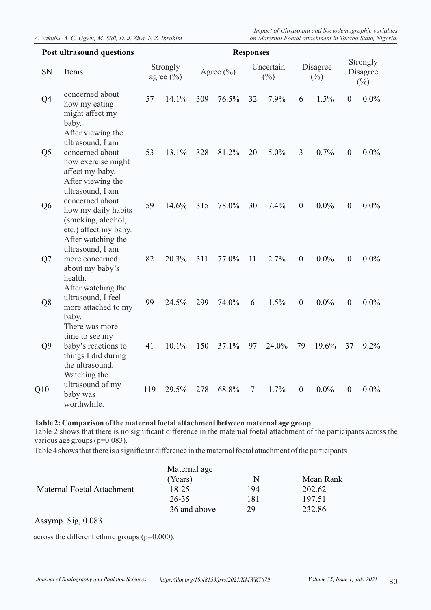*A. Yakubu, A. C. Ugwu, M. Sidi, D. J. Zira, F. Z. Ibrahim on Maternal Foetal attachment in Taraba State, Nigeria.*

*Impact of Ultrasound and Sociodemographic variables* 

|  | <b>Post ultrasound questions</b> |  |
|--|----------------------------------|--|

|                | <b>Post ultrasound questions</b>                                                                                                | <b>Responses</b> |                           |     |               |    |                     |                  |                    |                  |                                |
|----------------|---------------------------------------------------------------------------------------------------------------------------------|------------------|---------------------------|-----|---------------|----|---------------------|------------------|--------------------|------------------|--------------------------------|
| <b>SN</b>      | Items                                                                                                                           |                  | Strongly<br>agree $(\% )$ |     | Agree $(\% )$ |    | Uncertain<br>$(\%)$ |                  | Disagree<br>$(\%)$ |                  | Strongly<br>Disagree<br>$(\%)$ |
| Q4             | concerned about<br>how my eating<br>might affect my<br>baby.<br>After viewing the<br>ultrasound, I am                           | 57               | 14.1%                     | 309 | 76.5%         | 32 | 7.9%                | 6                | 1.5%               | $\boldsymbol{0}$ | $0.0\%$                        |
| Q <sub>5</sub> | concerned about<br>how exercise might<br>affect my baby.<br>After viewing the<br>ultrasound, I am                               | 53               | 13.1%                     | 328 | 81.2%         | 20 | 5.0%                | 3                | 0.7%               | $\boldsymbol{0}$ | $0.0\%$                        |
| Q <sub>6</sub> | concerned about<br>how my daily habits<br>(smoking, alcohol,<br>etc.) affect my baby.<br>After watching the<br>ultrasound, I am | 59               | 14.6%                     | 315 | 78.0%         | 30 | 7.4%                | $\mathbf{0}$     | $0.0\%$            | $\overline{0}$   | $0.0\%$                        |
| Q7             | more concerned<br>about my baby's<br>health.<br>After watching the                                                              | 82               | 20.3%                     | 311 | 77.0%         | 11 | 2.7%                | $\mathbf{0}$     | $0.0\%$            | $\mathbf{0}$     | $0.0\%$                        |
| Q8             | ultrasound, I feel<br>more attached to my<br>baby.<br>There was more                                                            | 99               | 24.5%                     | 299 | 74.0%         | 6  | 1.5%                | $\mathbf{0}$     | $0.0\%$            | $\theta$         | $0.0\%$                        |
| Q <sub>9</sub> | time to see my<br>baby's reactions to<br>things I did during<br>the ultrasound.<br>Watching the                                 | 41               | 10.1%                     | 150 | 37.1%         | 97 | 24.0%               | 79               | 19.6%              | 37               | 9.2%                           |
| Q10            | ultrasound of my<br>baby was<br>worthwhile.                                                                                     | 119              | 29.5%                     | 278 | 68.8%         | 7  | 1.7%                | $\boldsymbol{0}$ | $0.0\%$            | $\boldsymbol{0}$ | $0.0\%$                        |

### **Table 2: Comparison of the maternal foetal attachment between maternal age group**

Table 2 shows that there is no significant difference in the maternal foetal attachment of the participants across the various age groups (p=0.083).

Table 4 shows that there is a significant difference in the maternal foetal attachment of the participants

| Maternal age |     |           |
|--------------|-----|-----------|
| (Years)      | N   | Mean Rank |
| $18 - 25$    | 194 | 202.62    |
| $26 - 35$    | 181 | 197.51    |
| 36 and above | 29  | 232.86    |
|              |     |           |

across the different ethnic groups (p=0.000).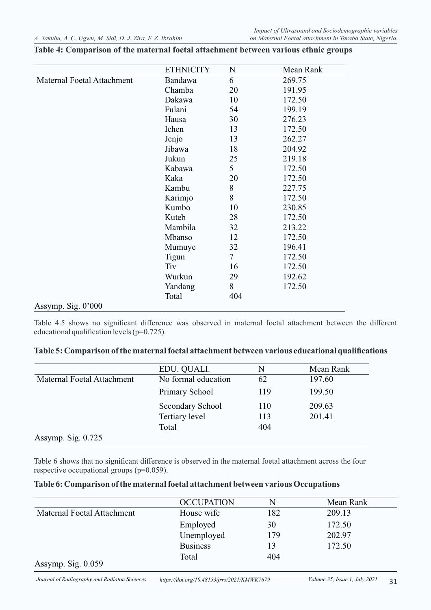|                            | <b>ETHNICITY</b> | N              | Mean Rank |
|----------------------------|------------------|----------------|-----------|
| Maternal Foetal Attachment | Bandawa          | 6              | 269.75    |
|                            | Chamba           | 20             | 191.95    |
|                            | Dakawa           | 10             | 172.50    |
|                            | Fulani           | 54             | 199.19    |
|                            | Hausa            | 30             | 276.23    |
|                            | Ichen            | 13             | 172.50    |
|                            | Jenjo            | 13             | 262.27    |
|                            | Jibawa           | 18             | 204.92    |
|                            | Jukun            | 25             | 219.18    |
|                            | Kabawa           | 5              | 172.50    |
|                            | Kaka             | 20             | 172.50    |
|                            | Kambu            | 8              | 227.75    |
|                            | Karimjo          | 8              | 172.50    |
|                            | Kumbo            | 10             | 230.85    |
|                            | Kuteb            | 28             | 172.50    |
|                            | Mambila          | 32             | 213.22    |
|                            | Mbanso           | 12             | 172.50    |
|                            | Mumuye           | 32             | 196.41    |
|                            | Tigun            | $\overline{7}$ | 172.50    |
|                            | Tiv              | 16             | 172.50    |
|                            | Wurkun           | 29             | 192.62    |
|                            | Yandang          | 8              | 172.50    |
|                            | Total            | 404            |           |
| Assymp. Sig. $0'000$       |                  |                |           |

#### **Table 4: Comparison of the maternal foetal attachment between various ethnic groups**

Table 4.5 shows no significant difference was observed in maternal foetal attachment between the different educational qualification levels (p=0.725).

|  | Table 5: Comparison of the maternal foetal attachment between various educational qualifications |  |  |
|--|--------------------------------------------------------------------------------------------------|--|--|
|  |                                                                                                  |  |  |

|                            | EDU. QUALI.         | N   | Mean Rank |
|----------------------------|---------------------|-----|-----------|
| Maternal Foetal Attachment | No formal education | 62  | 197.60    |
|                            | Primary School      | 119 | 199.50    |
|                            | Secondary School    | 110 | 209.63    |
|                            | Tertiary level      | 113 | 201.41    |
|                            | Total               | 404 |           |
| Assymp. Sig. $0.725$       |                     |     |           |

Table 6 shows that no significant difference is observed in the maternal foetal attachment across the four respective occupational groups (p=0.059).

#### **Table 6: Comparison of the maternal foetal attachment between various Occupations**

|                                           | <b>OCCUPATION</b> | N   | Mean Rank |
|-------------------------------------------|-------------------|-----|-----------|
| Maternal Foetal Attachment                | House wife        | 182 | 209.13    |
|                                           | Employed          | 30  | 172.50    |
|                                           | Unemployed        | 179 | 202.97    |
|                                           | <b>Business</b>   | 13  | 172.50    |
| $\Lambda$ corrected $\Omega$ $\sim$ 0.050 | Total             | 404 |           |

Assymp. Sig. 0.059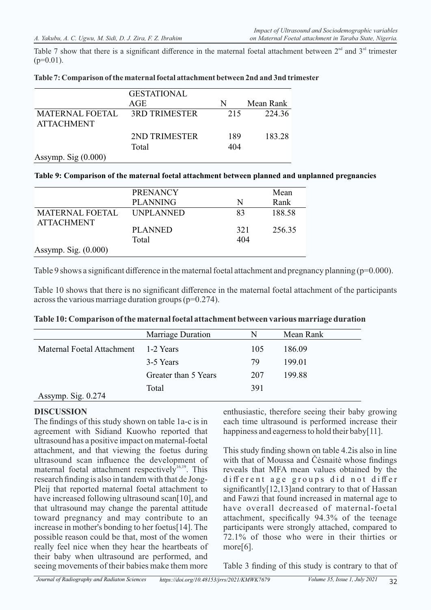Table 7 show that there is a significant difference in the maternal foetal attachment between  $2<sup>nd</sup>$  and  $3<sup>rd</sup>$  trimester  $(p=0.01)$ .

|                                             | <b>GESTATIONAL</b>   |     |           |
|---------------------------------------------|----------------------|-----|-----------|
| AGE                                         |                      | N   | Mean Rank |
| <b>MATERNAL FOETAL</b><br><b>ATTACHMENT</b> | <b>3RD TRIMESTER</b> | 215 | 224.36    |
|                                             | 2ND TRIMESTER        | 189 | 183.28    |
|                                             | Total                | 404 |           |
| Assymp. Sig $(0.000)$                       |                      |     |           |

#### **Table 7: Comparison of the maternal foetal attachment between 2nd and 3nd trimester**

#### **Table 9: Comparison of the maternal foetal attachment between planned and unplanned pregnancies**

|                                             | <b>PRENANCY</b> |     | Mean   |
|---------------------------------------------|-----------------|-----|--------|
|                                             | <b>PLANNING</b> | N   | Rank   |
| <b>MATERNAL FOETAL</b><br><b>ATTACHMENT</b> | UNPLANNED       | 83  | 188.58 |
|                                             | PLANNED         | 321 | 256.35 |
|                                             | Total           | 404 |        |
| Assymp. Sig. $(0.000)$                      |                 |     |        |

Table 9 shows a significant difference in the maternal foetal attachment and pregnancy planning ( $p=0.000$ ).

Table 10 shows that there is no significant difference in the maternal foetal attachment of the participants across the various marriage duration groups (p=0.274).

| Table 10: Comparison of the maternal foetal attachment between various marriage duration |  |  |  |  |  |  |  |  |
|------------------------------------------------------------------------------------------|--|--|--|--|--|--|--|--|
|------------------------------------------------------------------------------------------|--|--|--|--|--|--|--|--|

|                            | Marriage Duration    | N   | Mean Rank |
|----------------------------|----------------------|-----|-----------|
| Maternal Foetal Attachment | 1-2 Years            | 105 | 186.09    |
|                            | 3-5 Years            | 79  | 199.01    |
|                            | Greater than 5 Years | 207 | 199.88    |
| Assymp. Sig. 0.274         | Total                | 391 |           |

### **DISCUSSION**

The findings of this study shown on table 1a-c is in agreement with Sidiand Kuowho reported that ultrasound has a positive impact on maternal-foetal attachment, and that viewing the foetus during ultrasound scan influence the development of maternal foetal attachment respectively  $16,19$ . This research finding is also in tandem with that de Jong-Pleij that reported maternal foetal attachment to have increased following ultrasound scan[10], and that ultrasound may change the parental attitude toward pregnancy and may contribute to an increase in mother's bonding to her foetus[14]. The possible reason could be that, most of the women really feel nice when they hear the heartbeats of their baby when ultrasound are performed, and seeing movements of their babies make them more

enthusiastic, therefore seeing their baby growing each time ultrasound is performed increase their happiness and eagerness to hold their baby[11].

This study finding shown on table 4.2is also in line with that of Moussa and Čėsnaitė whose findings reveals that MFA mean values obtained by the different age groups did not differ significantly[12,13]and contrary to that of Hassan and Fawzi that found increased in maternal age to have overall decreased of maternal-foetal attachment, specifically 94.3% of the teenage participants were strongly attached, compared to 72.1% of those who were in their thirties or more<sup>[6]</sup>.

Table 3 finding of this study is contrary to that of

32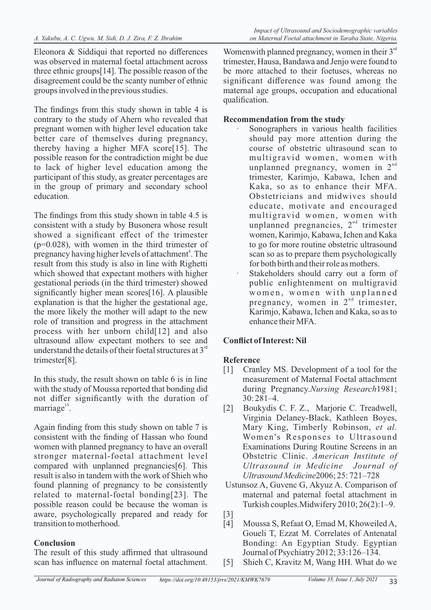Eleonora & Siddiqui that reported no differences was observed in maternal foetal attachment across three ethnic groups[14]. The possible reason of the disagreement could be the scanty number of ethnic groups involved in the previous studies.

The findings from this study shown in table 4 is contrary to the study of Ahern who revealed that pregnant women with higher level education take better care of themselves during pregnancy, thereby having a higher MFA score[15]. The possible reason for the contradiction might be due to lack of higher level education among the participant of this study, as greater percentages are in the group of primary and secondary school education.

The findings from this study shown in table 4.5 is consistent with a study by Busonera whose result showed a significant effect of the trimester  $(p=0.028)$ , with women in the third trimester of pregnancy having higher levels of attachment<sup>4</sup>. The result from this study is also in line with Righetti which showed that expectant mothers with higher gestational periods (in the third trimester) showed significantly higher mean scores[16]. A plausible explanation is that the higher the gestational age, the more likely the mother will adapt to the new role of transition and progress in the attachment process with her unborn child[12] and also ultrasound allow expectant mothers to see and understand the details of their foetal structures at  $3<sup>rd</sup>$ trimester[8].

In this study, the result shown on table 6 is in line with the study of Moussa reported that bonding did not differ significantly with the duration of  $marriage<sup>15</sup>$ .

Again finding from this study shown on table 7 is consistent with the finding of Hassan who found women with planned pregnancy to have an overall stronger maternal-foetal attachment level compared with unplanned pregnancies[6]. This result is also in tandem with the work of Shieh who found planning of pregnancy to be consistently related to maternal-foetal bonding[23]. The possible reason could be because the woman is aware, psychologically prepared and ready for transition to motherhood.

### **Conclusion**

The result of this study affirmed that ultrasound scan has influence on maternal foetal attachment.

Womenwith planned pregnancy, women in their  $3<sup>rd</sup>$ trimester, Hausa, Bandawa and Jenjo were found to be more attached to their foetuses, whereas no significant difference was found among the maternal age groups, occupation and educational qualification.

## **Recommendation from the study**

- Sonographers in various health facilities should pay more attention during the course of obstetric ultrasound scan to multigravid women, women with unplanned pregnancy, women in  $2<sup>nd</sup>$ trimester, Karimjo, Kabawa, Ichen and Kaka, so as to enhance their MFA. Obstetricians and midwives should educate, motivate and encouraged multigravid women, women with unplanned pregnancies,  $2<sup>nd</sup>$  trimester women, Karimjo, Kabawa, Ichen and Kaka to go for more routine obstetric ultrasound scan so as to prepare them psychologically for both birth and their role as mothers.
- Stakeholders should carry out a form of public enlightenment on multigravid women, women with unplanned pregnancy, women in  $2<sup>nd</sup>$  trimester, Karimjo, Kabawa, Ichen and Kaka, so as to enhance their MFA.

# **Conflict of Interest: Nil**

# **Reference**

- [1] Cranley MS. Development of a tool for the measurement of Maternal Foetal attachment during Pregnancy.*Nursing Research*1981; 30: 281–4.
- [2] Boukydis C. F. Z., Marjorie C. Treadwell, Virginia Delaney-Black, Kathleen Boyes, Mary King, Timberly Robinson, *et al*. Women's Responses to Ultrasound Examinations During Routine Screens in an Obstetric Clinic. *American Institute of Ultrasound in Medicine Journal of Ultrasound Medicine*2006; 25: 721–728
- Ustunsoz A, Guvenc G, Akyuz A. Comparison of maternal and paternal foetal attachment in Turkish couples. Midwifery 2010; 26(2): 1–9.
- [3]
- [4] Moussa S, Refaat O, Emad M, Khoweiled A, Goueli T, Ezzat M. Correlates of Antenatal Bonding: An Egyptian Study. Egyptian Journal of Psychiatry 2012; 33:126–134.
- [5] Shieh C, Kravitz M, Wang HH. What do we